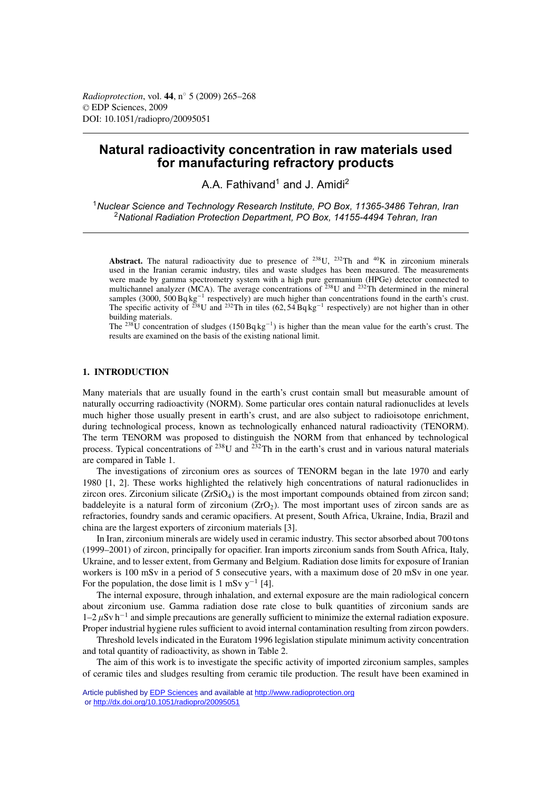# **Natural radioactivity concentration in raw materials used for manufacturing refractory products**

A.A. Fathivand<sup>1</sup> and J. Amidi<sup>2</sup>

<sup>1</sup>*Nuclear Science and Technology Research Institute, PO Box, 11365-3486 Tehran, Iran* <sup>2</sup>*National Radiation Protection Department, PO Box, 14155-4494 Tehran, Iran*

**Abstract.** The natural radioactivity due to presence of <sup>238</sup>U, <sup>232</sup>Th and <sup>40</sup>K in zirconium minerals used in the Iranian ceramic industry, tiles and waste sludges has been measured. The measurements were made by gamma spectrometry system with a high pure germanium (HPGe) detector connected to multichannel analyzer (MCA). The average concentrations of  $^{238}$ U and  $^{232}$ Th determined in the mineral samples (3000, 500 Bq kg<sup>-1</sup> respectively) are much higher than concentrations found in the earth's crust. The specific activity of <sup>238</sup>U and <sup>232</sup>Th in tiles (62, 54 Bq kg<sup>-1</sup> respectively) are not higher than in other building materials.

The <sup>238</sup>U concentration of sludges (150 Bq kg<sup>-1</sup>) is higher than the mean value for the earth's crust. The results are examined on the basis of the existing national limit.

# **1. INTRODUCTION**

Many materials that are usually found in the earth's crust contain small but measurable amount of naturally occurring radioactivity (NORM). Some particular ores contain natural radionuclides at levels much higher those usually present in earth's crust, and are also subject to radioisotope enrichment, during technological process, known as technologically enhanced natural radioactivity (TENORM). The term TENORM was proposed to distinguish the NORM from that enhanced by technological process. Typical concentrations of  $^{238}$ U and  $^{232}$ Th in the earth's crust and in various natural materials are compared in Table 1.

The investigations of zirconium ores as sources of TENORM began in the late 1970 and early 1980 [1, 2]. These works highlighted the relatively high concentrations of natural radionuclides in zircon ores. Zirconium silicate (ZrSiO<sub>4</sub>) is the most important compounds obtained from zircon sand; baddeleyite is a natural form of zirconium  $(ZrO<sub>2</sub>)$ . The most important uses of zircon sands are as refractories, foundry sands and ceramic opacifiers. At present, South Africa, Ukraine, India, Brazil and china are the largest exporters of zirconium materials [3].

In Iran, zirconium minerals are widely used in ceramic industry. This sector absorbed about 700 tons (1999–2001) of zircon, principally for opacifier. Iran imports zirconium sands from South Africa, Italy, Ukraine, and to lesser extent, from Germany and Belgium. Radiation dose limits for exposure of Iranian workers is 100 mSv in a period of 5 consecutive years, with a maximum dose of 20 mSv in one year. For the population, the dose limit is 1 mSv y<sup>-1</sup> [4].

The internal exposure, through inhalation, and external exposure are the main radiological concern about zirconium use. Gamma radiation dose rate close to bulk quantities of zirconium sands are  $1-2 \mu Sv$  h<sup>-1</sup> and simple precautions are generally sufficient to minimize the external radiation exposure. Proper industrial hygiene rules sufficient to avoid internal contamination resulting from zircon powders.

Threshold levels indicated in the Euratom 1996 legislation stipulate minimum activity concentration and total quantity of radioactivity, as shown in Table 2.

The aim of this work is to investigate the specific activity of imported zirconium samples, samples of ceramic tiles and sludges resulting from ceramic tile production. The result have been examined in

Article published by [EDP Sciences](http://www.edpsciences.org) and available at<http://www.radioprotection.org> or <http://dx.doi.org/10.1051/radiopro/20095051>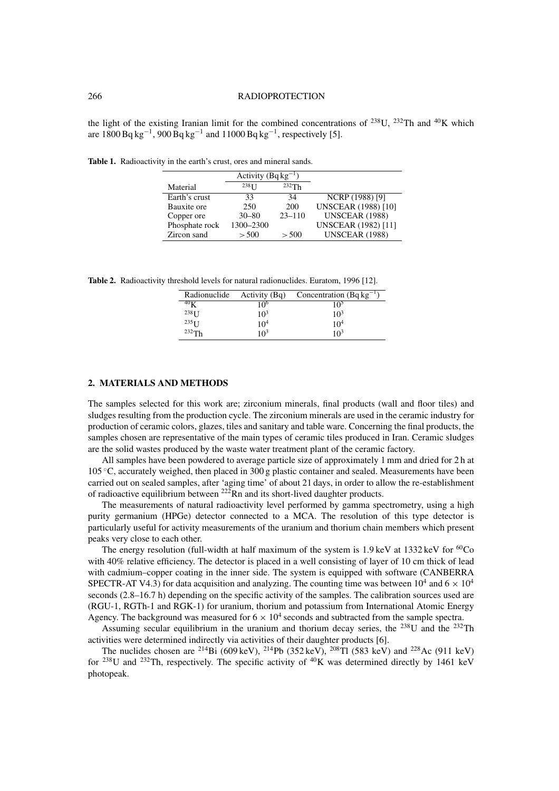#### 266 RADIOPROTECTION

the light of the existing Iranian limit for the combined concentrations of  $^{238}$ U,  $^{232}$ Th and  $^{40}$ K which are 1800 Bq kg<sup>-1</sup>, 900 Bq kg<sup>-1</sup> and 11000 Bq kg<sup>-1</sup>, respectively [5].

**Table 1.** Radioactivity in the earth's crust, ores and mineral sands.

|                | Activity $(Bq kg^{-1})$ |            |                            |
|----------------|-------------------------|------------|----------------------------|
| Material       | $238$ TT                | 232Th      |                            |
| Earth's crust  | 33                      | 34         | NCRP (1988) [9]            |
| Bauxite ore    | 250                     | 200        | <b>UNSCEAR (1988) [10]</b> |
| Copper ore     | $30 - 80$               | $23 - 110$ | <b>UNSCEAR (1988)</b>      |
| Phosphate rock | 1300-2300               |            | <b>UNSCEAR (1982)</b> [11] |
| Zircon sand    | > 500                   | > 500      | <b>UNSCEAR (1988)</b>      |

**Table 2.** Radioactivity threshold levels for natural radionuclides. Euratom, 1996 [12].

| Radionuclide       | Activity (Bq)           | Concentration $(Bq \log^{-1})$ |
|--------------------|-------------------------|--------------------------------|
| $40\,\mathrm{K}$   | 10 <sup>6</sup>         | 10,                            |
| $238$ <sup>T</sup> | $10^3$                  | 10 <sup>3</sup>                |
| $235$ <sup>T</sup> | 10 <sup>4</sup>         | 10 <sup>4</sup>                |
| $232$ Th           | 1 $\Omega$ <sup>3</sup> | 10 <sup>3</sup>                |

#### **2. MATERIALS AND METHODS**

The samples selected for this work are; zirconium minerals, final products (wall and floor tiles) and sludges resulting from the production cycle. The zirconium minerals are used in the ceramic industry for production of ceramic colors, glazes, tiles and sanitary and table ware. Concerning the final products, the samples chosen are representative of the main types of ceramic tiles produced in Iran. Ceramic sludges are the solid wastes produced by the waste water treatment plant of the ceramic factory.

All samples have been powdered to average particle size of approximately 1 mm and dried for 2 h at 105 ◦C, accurately weighed, then placed in 300 g plastic container and sealed. Measurements have been carried out on sealed samples, after 'aging time' of about 21 days, in order to allow the re-establishment of radioactive equilibrium between  $^{222}$ Rn and its short-lived daughter products.

The measurements of natural radioactivity level performed by gamma spectrometry, using a high purity germanium (HPGe) detector connected to a MCA. The resolution of this type detector is particularly useful for activity measurements of the uranium and thorium chain members which present peaks very close to each other.

The energy resolution (full-width at half maximum of the system is  $1.9 \,\text{keV}$  at  $1332 \,\text{keV}$  for  $^{60}\text{Co}$ with 40% relative efficiency. The detector is placed in a well consisting of layer of 10 cm thick of lead with cadmium–copper coating in the inner side. The system is equipped with software (CANBERRA SPECTR-AT V4.3) for data acquisition and analyzing. The counting time was between  $10^4$  and  $6 \times 10^4$ seconds (2.8–16.7 h) depending on the specific activity of the samples. The calibration sources used are (RGU-1, RGTh-1 and RGK-1) for uranium, thorium and potassium from International Atomic Energy Agency. The background was measured for  $6 \times 10^4$  seconds and subtracted from the sample spectra.

Assuming secular equilibrium in the uranium and thorium decay series, the  $^{238}$ U and the  $^{232}$ Th activities were determined indirectly via activities of their daughter products [6].

The nuclides chosen are <sup>214</sup>Bi (609 keV), <sup>214</sup>Pb (352 keV), <sup>208</sup>Tl (583 keV) and <sup>228</sup>Ac (911 keV) for  $238$ U and  $232$ Th, respectively. The specific activity of  $40$ K was determined directly by 1461 keV photopeak.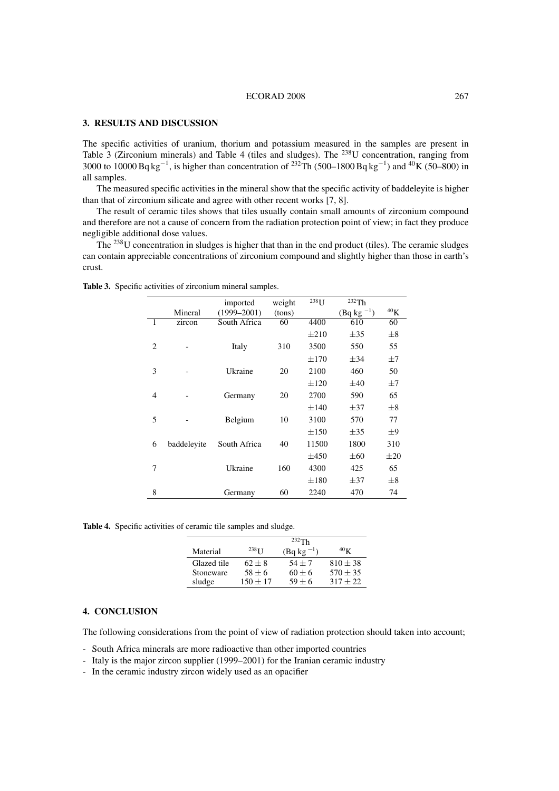#### ECORAD 2008 267

## **3. RESULTS AND DISCUSSION**

The specific activities of uranium, thorium and potassium measured in the samples are present in Table 3 (Zirconium minerals) and Table 4 (tiles and sludges). The 238U concentration, ranging from 3000 to 10000 Bq kg<sup>-1</sup>, is higher than concentration of <sup>232</sup>Th (500–1800 Bq kg<sup>-1</sup>) and <sup>40</sup>K (50–800) in all samples.

The measured specific activities in the mineral show that the specific activity of baddeleyite is higher than that of zirconium silicate and agree with other recent works [7, 8].

The result of ceramic tiles shows that tiles usually contain small amounts of zirconium compound and therefore are not a cause of concern from the radiation protection point of view; in fact they produce negligible additional dose values.

The  $^{238}$ U concentration in sludges is higher that than in the end product (tiles). The ceramic sludges can contain appreciable concentrations of zirconium compound and slightly higher than those in earth's crust.

|                |             | imported        | weight | $238$ U   | 232Th          |                 |
|----------------|-------------|-----------------|--------|-----------|----------------|-----------------|
|                | Mineral     | $(1999 - 2001)$ | (tons) |           | $(Bq kg^{-1})$ | 40 <sub>K</sub> |
| 1              | zircon      | South Africa    | 60     | 4400      | 610            | 60              |
|                |             |                 |        | $\pm 210$ | $\pm 35$       | $_{\pm 8}$      |
| $\overline{c}$ |             | Italy           | 310    | 3500      | 550            | 55              |
|                |             |                 |        | $\pm 170$ | $\pm$ 34       | $\pm 7$         |
| 3              |             | Ukraine         | 20     | 2100      | 460            | 50              |
|                |             |                 |        | $\pm 120$ | $\pm 40$       | $\pm 7$         |
| 4              |             | Germany         | 20     | 2700      | 590            | 65              |
|                |             |                 |        | $\pm 140$ | $\pm$ 37       | $_{\pm 8}$      |
| 5              |             | Belgium         | 10     | 3100      | 570            | 77              |
|                |             |                 |        | $\pm 150$ | $\pm 35$       | $\pm 9$         |
| 6              | baddeleyite | South Africa    | 40     | 11500     | 1800           | 310             |
|                |             |                 |        | $\pm 450$ | $\pm 60$       | $\pm 20$        |
| 7              |             | Ukraine         | 160    | 4300      | 425            | 65              |
|                |             |                 |        | $\pm 180$ | $\pm$ 37       | $\pm 8$         |
| 8              |             | Germany         | 60     | 2240      | 470            | 74              |

**Table 3.** Specific activities of zirconium mineral samples.

**Table 4.** Specific activities of ceramic tile samples and sludge.

|             | $232$ Th            |                |                  |  |
|-------------|---------------------|----------------|------------------|--|
| Material    | $238$ <sub>II</sub> | $(Bq kg^{-1})$ | $40\,\mathrm{K}$ |  |
| Glazed tile | $62 \pm 8$          | $54 + 7$       | $810 \pm 38$     |  |
| Stoneware   | $58 \pm 6$          | $60 \pm 6$     | $570 \pm 35$     |  |
| sludge      | $150 \pm 17$        | $59 \pm 6$     | $317 + 22$       |  |

### **4. CONCLUSION**

The following considerations from the point of view of radiation protection should taken into account;

- South Africa minerals are more radioactive than other imported countries
- Italy is the major zircon supplier (1999–2001) for the Iranian ceramic industry
- In the ceramic industry zircon widely used as an opacifier